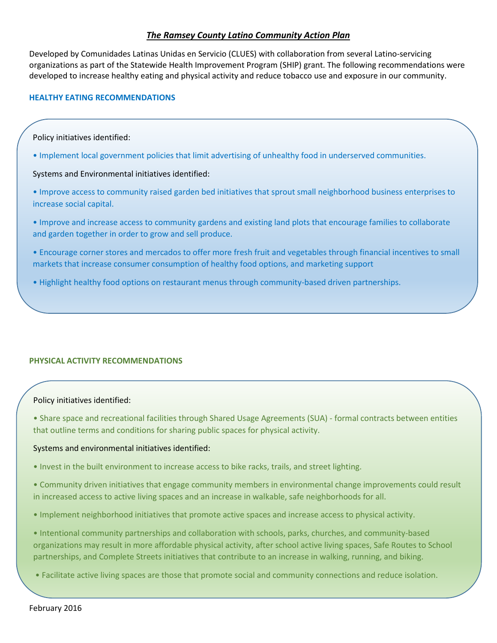# *The Ramsey County Latino Community Action Plan*

Developed by [Comunidades Latinas Unidas en Servicio](http://www.clues.org/) (CLUES) with collaboration from several Latino-servicing organizations as part of the Statewide Health Improvement Program (SHIP) grant. The following recommendations were developed to increase healthy eating and physical activity and reduce tobacco use and exposure in our community.

### **HEALTHY EATING RECOMMENDATIONS**

#### Policy initiatives identified:

• Implement local government policies that limit advertising of unhealthy food in underserved communities.

### Systems and Environmental initiatives identified:

- Improve access to community raised garden bed initiatives that sprout small neighborhood business enterprises to increase social capital.
- Improve and increase access to community gardens and existing land plots that encourage families to collaborate and garden together in order to grow and sell produce.
- Encourage corner stores and mercados to offer more fresh fruit and vegetables through financial incentives to small markets that increase consumer consumption of healthy food options, and marketing support
- Highlight healthy food options on restaurant menus through community-based driven partnerships.

## **PHYSICAL ACTIVITY RECOMMENDATIONS**

## Policy initiatives identified:

• Share space and recreational facilities through Shared Usage Agreements (SUA) - formal contracts between entities that outline terms and conditions for sharing public spaces for physical activity.

#### Systems and environmental initiatives identified:

- Invest in the built environment to increase access to bike racks, trails, and street lighting.
- Community driven initiatives that engage community members in environmental change improvements could result in increased access to active living spaces and an increase in walkable, safe neighborhoods for all.
- Implement neighborhood initiatives that promote active spaces and increase access to physical activity.
- Intentional community partnerships and collaboration with schools, parks, churches, and community-based organizations may result in more affordable physical activity, after school active living spaces, Safe Routes to School partnerships, and Complete Streets initiatives that contribute to an increase in walking, running, and biking.
- Facilitate active living spaces are those that promote social and community connections and reduce isolation.